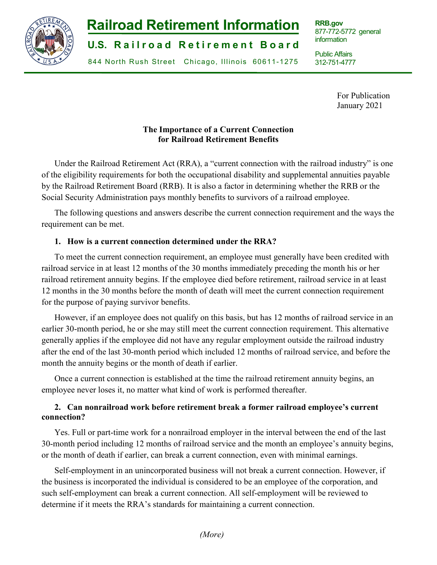

# **Railroad Retirement Information**

**U.S. Railroad Retirement Board** 

844 North Rush Street Chicago, Illinois 60611-1275

**RRB.gov** 877-772-5772 general information

Public Affairs 312-751-4777

j

For Publication January 2021

# **The Importance of a Current Connection for Railroad Retirement Benefits**

Under the Railroad Retirement Act (RRA), a "current connection with the railroad industry" is one of the eligibility requirements for both the occupational disability and supplemental annuities payable by the Railroad Retirement Board (RRB). It is also a factor in determining whether the RRB or the Social Security Administration pays monthly benefits to survivors of a railroad employee.

The following questions and answers describe the current connection requirement and the ways the requirement can be met.

# **1. How is a current connection determined under the RRA?**

To meet the current connection requirement, an employee must generally have been credited with railroad service in at least 12 months of the 30 months immediately preceding the month his or her railroad retirement annuity begins. If the employee died before retirement, railroad service in at least 12 months in the 30 months before the month of death will meet the current connection requirement for the purpose of paying survivor benefits.

However, if an employee does not qualify on this basis, but has 12 months of railroad service in an earlier 30-month period, he or she may still meet the current connection requirement. This alternative generally applies if the employee did not have any regular employment outside the railroad industry after the end of the last 30-month period which included 12 months of railroad service, and before the month the annuity begins or the month of death if earlier.

Once a current connection is established at the time the railroad retirement annuity begins, an employee never loses it, no matter what kind of work is performed thereafter.

# **2. Can nonrailroad work before retirement break a former railroad employee's current connection?**

Yes. Full or part-time work for a nonrailroad employer in the interval between the end of the last 30-month period including 12 months of railroad service and the month an employee's annuity begins, or the month of death if earlier, can break a current connection, even with minimal earnings.

Self-employment in an unincorporated business will not break a current connection. However, if the business is incorporated the individual is considered to be an employee of the corporation, and such self-employment can break a current connection. All self-employment will be reviewed to determine if it meets the RRA's standards for maintaining a current connection.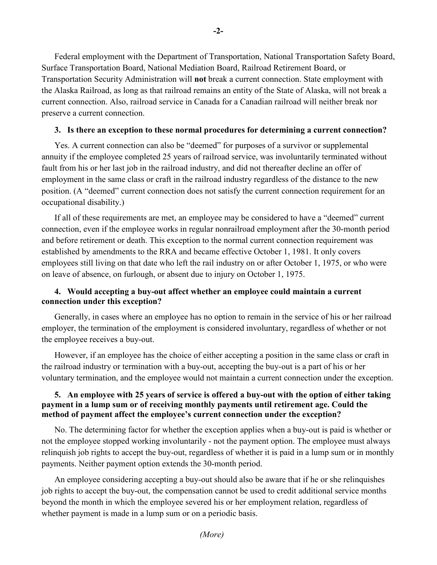Federal employment with the Department of Transportation, National Transportation Safety Board, Surface Transportation Board, National Mediation Board, Railroad Retirement Board, or Transportation Security Administration will **not** break a current connection. State employment with the Alaska Railroad, as long as that railroad remains an entity of the State of Alaska, will not break a current connection. Also, railroad service in Canada for a Canadian railroad will neither break nor preserve a current connection.

#### **3. Is there an exception to these normal procedures for determining a current connection?**

Yes. A current connection can also be "deemed" for purposes of a survivor or supplemental annuity if the employee completed 25 years of railroad service, was involuntarily terminated without fault from his or her last job in the railroad industry, and did not thereafter decline an offer of employment in the same class or craft in the railroad industry regardless of the distance to the new position. (A "deemed" current connection does not satisfy the current connection requirement for an occupational disability.)

If all of these requirements are met, an employee may be considered to have a "deemed" current connection, even if the employee works in regular nonrailroad employment after the 30-month period and before retirement or death. This exception to the normal current connection requirement was established by amendments to the RRA and became effective October 1, 1981. It only covers employees still living on that date who left the rail industry on or after October 1, 1975, or who were on leave of absence, on furlough, or absent due to injury on October 1, 1975.

### **4. Would accepting a buy-out affect whether an employee could maintain a current connection under this exception?**

Generally, in cases where an employee has no option to remain in the service of his or her railroad employer, the termination of the employment is considered involuntary, regardless of whether or not the employee receives a buy-out.

However, if an employee has the choice of either accepting a position in the same class or craft in the railroad industry or termination with a buy-out, accepting the buy-out is a part of his or her voluntary termination, and the employee would not maintain a current connection under the exception.

#### **5. An employee with 25 years of service is offered a buy-out with the option of either taking payment in a lump sum or of receiving monthly payments until retirement age. Could the method of payment affect the employee's current connection under the exception?**

No. The determining factor for whether the exception applies when a buy-out is paid is whether or not the employee stopped working involuntarily - not the payment option. The employee must always relinquish job rights to accept the buy-out, regardless of whether it is paid in a lump sum or in monthly payments. Neither payment option extends the 30-month period.

An employee considering accepting a buy-out should also be aware that if he or she relinquishes job rights to accept the buy-out, the compensation cannot be used to credit additional service months beyond the month in which the employee severed his or her employment relation, regardless of whether payment is made in a lump sum or on a periodic basis.